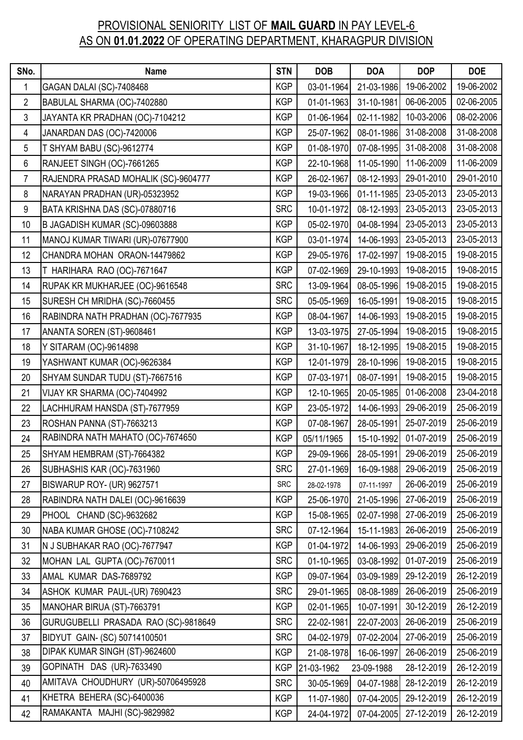## PROVISIONAL SENIORITY LIST OF **MAIL GUARD** IN PAY LEVEL-6 AS ON **01.01.2022** OF OPERATING DEPARTMENT, KHARAGPUR DIVISION

| SNo.           | <b>Name</b>                          | <b>STN</b> | <b>DOB</b> | <b>DOA</b> | <b>DOP</b>            | <b>DOE</b> |
|----------------|--------------------------------------|------------|------------|------------|-----------------------|------------|
| $\mathbf{1}$   | GAGAN DALAI (SC)-7408468             | <b>KGP</b> | 03-01-1964 | 21-03-1986 | 19-06-2002            | 19-06-2002 |
| $\overline{2}$ | BABULAL SHARMA (OC)-7402880          | <b>KGP</b> | 01-01-1963 | 31-10-1981 | 06-06-2005            | 02-06-2005 |
| 3              | JAYANTA KR PRADHAN (OC)-7104212      | <b>KGP</b> | 01-06-1964 | 02-11-1982 | 10-03-2006            | 08-02-2006 |
| 4              | JANARDAN DAS (OC)-7420006            | <b>KGP</b> | 25-07-1962 | 08-01-1986 | 31-08-2008            | 31-08-2008 |
| 5              | T SHYAM BABU (SC)-9612774            | <b>KGP</b> | 01-08-1970 | 07-08-1995 | 31-08-2008            | 31-08-2008 |
| 6              | RANJEET SINGH (OC)-7661265           | <b>KGP</b> | 22-10-1968 | 11-05-1990 | 11-06-2009            | 11-06-2009 |
| $\overline{7}$ | RAJENDRA PRASAD MOHALIK (SC)-9604777 | <b>KGP</b> | 26-02-1967 | 08-12-1993 | 29-01-2010            | 29-01-2010 |
| 8              | NARAYAN PRADHAN (UR)-05323952        | <b>KGP</b> | 19-03-1966 |            | 01-11-1985 23-05-2013 | 23-05-2013 |
| 9              | BATA KRISHNA DAS (SC)-07880716       | <b>SRC</b> | 10-01-1972 | 08-12-1993 | 23-05-2013            | 23-05-2013 |
| 10             | B JAGADISH KUMAR (SC)-09603888       | <b>KGP</b> | 05-02-1970 |            | 04-08-1994 23-05-2013 | 23-05-2013 |
| 11             | MANOJ KUMAR TIWARI (UR)-07677900     | <b>KGP</b> | 03-01-1974 | 14-06-1993 | 23-05-2013            | 23-05-2013 |
| 12             | CHANDRA MOHAN ORAON-14479862         | <b>KGP</b> | 29-05-1976 | 17-02-1997 | 19-08-2015            | 19-08-2015 |
| 13             | T HARIHARA RAO (OC)-7671647          | <b>KGP</b> | 07-02-1969 | 29-10-1993 | 19-08-2015            | 19-08-2015 |
| 14             | RUPAK KR MUKHARJEE (OC)-9616548      | <b>SRC</b> | 13-09-1964 | 08-05-1996 | 19-08-2015            | 19-08-2015 |
| 15             | SURESH CH MRIDHA (SC)-7660455        | <b>SRC</b> | 05-05-1969 | 16-05-1991 | 19-08-2015            | 19-08-2015 |
| 16             | RABINDRA NATH PRADHAN (OC)-7677935   | <b>KGP</b> | 08-04-1967 | 14-06-1993 | 19-08-2015            | 19-08-2015 |
| 17             | ANANTA SOREN (ST)-9608461            | <b>KGP</b> | 13-03-1975 | 27-05-1994 | 19-08-2015            | 19-08-2015 |
| 18             | Y SITARAM (OC)-9614898               | <b>KGP</b> | 31-10-1967 | 18-12-1995 | 19-08-2015            | 19-08-2015 |
| 19             | YASHWANT KUMAR (OC)-9626384          | <b>KGP</b> | 12-01-1979 | 28-10-1996 | 19-08-2015            | 19-08-2015 |
| 20             | SHYAM SUNDAR TUDU (ST)-7667516       | <b>KGP</b> | 07-03-1971 | 08-07-1991 | 19-08-2015            | 19-08-2015 |
| 21             | VIJAY KR SHARMA (OC)-7404992         | <b>KGP</b> | 12-10-1965 | 20-05-1985 | 01-06-2008            | 23-04-2018 |
| 22             | LACHHURAM HANSDA (ST)-7677959        | <b>KGP</b> | 23-05-1972 | 14-06-1993 | 29-06-2019            | 25-06-2019 |
| 23             | ROSHAN PANNA (ST)-7663213            | <b>KGP</b> | 07-08-1967 | 28-05-1991 | 25-07-2019            | 25-06-2019 |
| 24             | RABINDRA NATH MAHATO (OC)-7674650    | <b>KGP</b> | 05/11/1965 | 15-10-1992 | 01-07-2019            | 25-06-2019 |
| 25             | SHYAM HEMBRAM (ST)-7664382           | <b>KGP</b> | 29-09-1966 |            | 28-05-1991 29-06-2019 | 25-06-2019 |
| 26             | SUBHASHIS KAR (OC)-7631960           | <b>SRC</b> | 27-01-1969 | 16-09-1988 | 29-06-2019            | 25-06-2019 |
| 27             | BISWARUP ROY- (UR) 9627571           | <b>SRC</b> | 28-02-1978 | 07-11-1997 | 26-06-2019            | 25-06-2019 |
| 28             | RABINDRA NATH DALEI (OC)-9616639     | <b>KGP</b> | 25-06-1970 | 21-05-1996 | 27-06-2019            | 25-06-2019 |
| 29             | PHOOL CHAND (SC)-9632682             | <b>KGP</b> | 15-08-1965 |            | 02-07-1998 27-06-2019 | 25-06-2019 |
| 30             | NABA KUMAR GHOSE (OC)-7108242        | <b>SRC</b> | 07-12-1964 | 15-11-1983 | 26-06-2019            | 25-06-2019 |
| 31             | N J SUBHAKAR RAO (OC)-7677947        | <b>KGP</b> | 01-04-1972 |            | 14-06-1993 29-06-2019 | 25-06-2019 |
| 32             | MOHAN LAL GUPTA (OC)-7670011         | <b>SRC</b> | 01-10-1965 | 03-08-1992 | 01-07-2019            | 25-06-2019 |
| 33             | AMAL KUMAR DAS-7689792               | <b>KGP</b> | 09-07-1964 | 03-09-1989 | 29-12-2019            | 26-12-2019 |
| 34             | ASHOK KUMAR PAUL-(UR) 7690423        | <b>SRC</b> | 29-01-1965 | 08-08-1989 | 26-06-2019            | 25-06-2019 |
| 35             | MANOHAR BIRUA (ST)-7663791           | <b>KGP</b> | 02-01-1965 | 10-07-1991 | 30-12-2019            | 26-12-2019 |
| 36             | GURUGUBELLI PRASADA RAO (SC)-9818649 | <b>SRC</b> | 22-02-1981 | 22-07-2003 | 26-06-2019            | 25-06-2019 |
| 37             | BIDYUT GAIN- (SC) 50714100501        | <b>SRC</b> | 04-02-1979 | 07-02-2004 | 27-06-2019            | 25-06-2019 |
| 38             | DIPAK KUMAR SINGH (ST)-9624600       | <b>KGP</b> | 21-08-1978 | 16-06-1997 | 26-06-2019            | 25-06-2019 |
| 39             | GOPINATH DAS (UR)-7633490            | <b>KGP</b> | 21-03-1962 | 23-09-1988 | 28-12-2019            | 26-12-2019 |
| 40             | AMITAVA CHOUDHURY (UR)-50706495928   | <b>SRC</b> | 30-05-1969 | 04-07-1988 | 28-12-2019            | 26-12-2019 |
| 41             | KHETRA BEHERA (SC)-6400036           | <b>KGP</b> | 11-07-1980 | 07-04-2005 | 29-12-2019            | 26-12-2019 |
| 42             | RAMAKANTA MAJHI (SC)-9829982         | <b>KGP</b> | 24-04-1972 | 07-04-2005 | 27-12-2019            | 26-12-2019 |